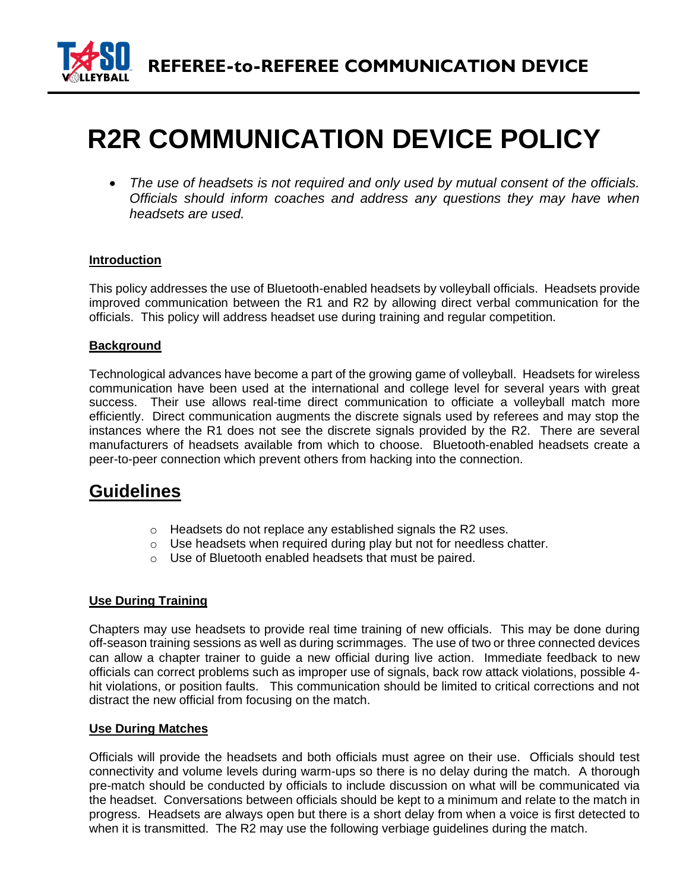

# **R2R COMMUNICATION DEVICE POLICY**

• *The use of headsets is not required and only used by mutual consent of the officials. Officials should inform coaches and address any questions they may have when headsets are used.* 

### **Introduction**

This policy addresses the use of Bluetooth-enabled headsets by volleyball officials. Headsets provide improved communication between the R1 and R2 by allowing direct verbal communication for the officials. This policy will address headset use during training and regular competition.

### **Background**

Technological advances have become a part of the growing game of volleyball. Headsets for wireless communication have been used at the international and college level for several years with great success. Their use allows real-time direct communication to officiate a volleyball match more efficiently. Direct communication augments the discrete signals used by referees and may stop the instances where the R1 does not see the discrete signals provided by the R2. There are several manufacturers of headsets available from which to choose. Bluetooth-enabled headsets create a peer-to-peer connection which prevent others from hacking into the connection.

## **Guidelines**

- o Headsets do not replace any established signals the R2 uses.
- o Use headsets when required during play but not for needless chatter.
- o Use of Bluetooth enabled headsets that must be paired.

### **Use During Training**

Chapters may use headsets to provide real time training of new officials. This may be done during off-season training sessions as well as during scrimmages. The use of two or three connected devices can allow a chapter trainer to guide a new official during live action. Immediate feedback to new officials can correct problems such as improper use of signals, back row attack violations, possible 4 hit violations, or position faults. This communication should be limited to critical corrections and not distract the new official from focusing on the match.

### **Use During Matches**

Officials will provide the headsets and both officials must agree on their use. Officials should test connectivity and volume levels during warm-ups so there is no delay during the match. A thorough pre-match should be conducted by officials to include discussion on what will be communicated via the headset. Conversations between officials should be kept to a minimum and relate to the match in progress. Headsets are always open but there is a short delay from when a voice is first detected to when it is transmitted. The R2 may use the following verbiage guidelines during the match.